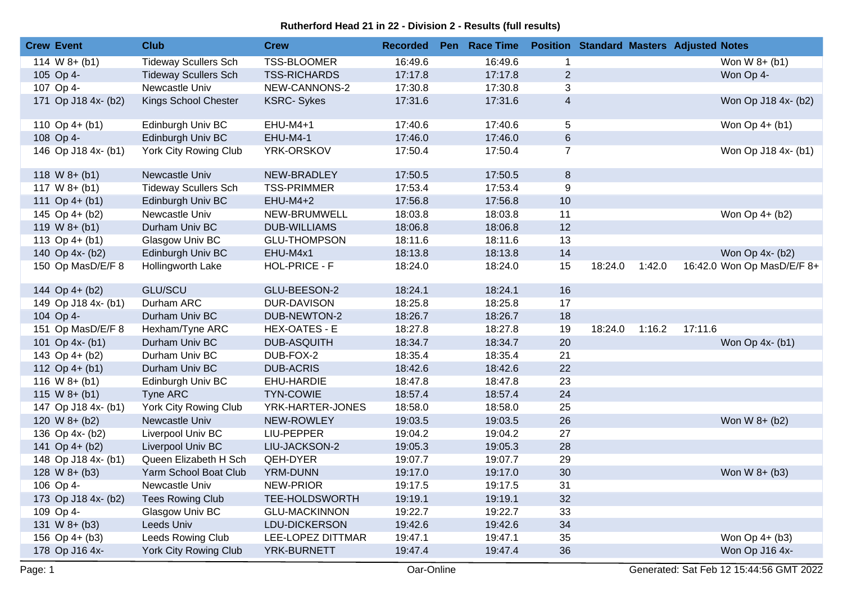## **Rutherford Head 21 in 22 - Division 2 - Results (full results)**

| 16:49.6<br>16:49.6<br><b>Tideway Scullers Sch</b><br><b>TSS-BLOOMER</b><br>Won W 8+ (b1)<br>114 W $8+ (b1)$<br>$\mathbf{1}$<br><b>TSS-RICHARDS</b><br>17:17.8<br>17:17.8<br>$\overline{2}$<br>Won Op 4-<br>105 Op 4-<br><b>Tideway Scullers Sch</b><br>17:30.8<br>17:30.8<br>3<br>107 Op 4-<br>Newcastle Univ<br>NEW-CANNONS-2<br>$\overline{4}$<br>17:31.6<br>171 Op J18 4x- (b2)<br>Kings School Chester<br><b>KSRC-Sykes</b><br>17:31.6<br>Won Op J18 4x- (b2)<br>5<br>Edinburgh Univ BC<br>EHU-M4+1<br>17:40.6<br>17:40.6<br>Won Op 4+ (b1)<br>110 Op $4+$ (b1)<br>$\,6\,$<br>108 Op 4-<br>Edinburgh Univ BC<br><b>EHU-M4-1</b><br>17:46.0<br>17:46.0<br>YRK-ORSKOV<br>146 Op J18 4x- (b1)<br>York City Rowing Club<br>17:50.4<br>17:50.4<br>$\overline{7}$<br>Won Op J18 4x- (b1)<br>17:50.5<br>17:50.5<br>$\,8\,$<br>Newcastle Univ<br>NEW-BRADLEY<br>118 W $8+ (b1)$ | <b>Crew Event</b> | <b>Club</b>                 | <b>Crew</b>        | <b>Recorded</b> | Pen Race Time |   |  | <b>Position Standard Masters Adjusted Notes</b> |
|-----------------------------------------------------------------------------------------------------------------------------------------------------------------------------------------------------------------------------------------------------------------------------------------------------------------------------------------------------------------------------------------------------------------------------------------------------------------------------------------------------------------------------------------------------------------------------------------------------------------------------------------------------------------------------------------------------------------------------------------------------------------------------------------------------------------------------------------------------------------------------|-------------------|-----------------------------|--------------------|-----------------|---------------|---|--|-------------------------------------------------|
|                                                                                                                                                                                                                                                                                                                                                                                                                                                                                                                                                                                                                                                                                                                                                                                                                                                                             |                   |                             |                    |                 |               |   |  |                                                 |
|                                                                                                                                                                                                                                                                                                                                                                                                                                                                                                                                                                                                                                                                                                                                                                                                                                                                             |                   |                             |                    |                 |               |   |  |                                                 |
|                                                                                                                                                                                                                                                                                                                                                                                                                                                                                                                                                                                                                                                                                                                                                                                                                                                                             |                   |                             |                    |                 |               |   |  |                                                 |
|                                                                                                                                                                                                                                                                                                                                                                                                                                                                                                                                                                                                                                                                                                                                                                                                                                                                             |                   |                             |                    |                 |               |   |  |                                                 |
|                                                                                                                                                                                                                                                                                                                                                                                                                                                                                                                                                                                                                                                                                                                                                                                                                                                                             |                   |                             |                    |                 |               |   |  |                                                 |
|                                                                                                                                                                                                                                                                                                                                                                                                                                                                                                                                                                                                                                                                                                                                                                                                                                                                             |                   |                             |                    |                 |               |   |  |                                                 |
|                                                                                                                                                                                                                                                                                                                                                                                                                                                                                                                                                                                                                                                                                                                                                                                                                                                                             |                   |                             |                    |                 |               |   |  |                                                 |
|                                                                                                                                                                                                                                                                                                                                                                                                                                                                                                                                                                                                                                                                                                                                                                                                                                                                             |                   |                             |                    |                 |               |   |  |                                                 |
|                                                                                                                                                                                                                                                                                                                                                                                                                                                                                                                                                                                                                                                                                                                                                                                                                                                                             | 117 $W$ 8+ (b1)   | <b>Tideway Scullers Sch</b> | <b>TSS-PRIMMER</b> | 17:53.4         | 17:53.4       | 9 |  |                                                 |
| 17:56.8<br>17:56.8<br>10<br>111 Op $4+ (b1)$<br>Edinburgh Univ BC<br>$EHU-M4+2$                                                                                                                                                                                                                                                                                                                                                                                                                                                                                                                                                                                                                                                                                                                                                                                             |                   |                             |                    |                 |               |   |  |                                                 |
| Newcastle Univ<br>18:03.8<br>145 Op 4+ (b2)<br>NEW-BRUMWELL<br>18:03.8<br>11<br>Won Op 4+ (b2)                                                                                                                                                                                                                                                                                                                                                                                                                                                                                                                                                                                                                                                                                                                                                                              |                   |                             |                    |                 |               |   |  |                                                 |
| 12<br>Durham Univ BC<br><b>DUB-WILLIAMS</b><br>18:06.8<br>18:06.8<br>119 W $8+$ (b1)                                                                                                                                                                                                                                                                                                                                                                                                                                                                                                                                                                                                                                                                                                                                                                                        |                   |                             |                    |                 |               |   |  |                                                 |
| 13<br>Glasgow Univ BC<br><b>GLU-THOMPSON</b><br>18:11.6<br>18:11.6<br>113 Op 4+ (b1)                                                                                                                                                                                                                                                                                                                                                                                                                                                                                                                                                                                                                                                                                                                                                                                        |                   |                             |                    |                 |               |   |  |                                                 |
| 14<br>Edinburgh Univ BC<br>EHU-M4x1<br>18:13.8<br>18:13.8<br>Won Op 4x- (b2)<br>140 Op 4x- (b2)                                                                                                                                                                                                                                                                                                                                                                                                                                                                                                                                                                                                                                                                                                                                                                             |                   |                             |                    |                 |               |   |  |                                                 |
| 18:24.0<br>15<br>18:24.0<br>150 Op MasD/E/F 8<br>Hollingworth Lake<br>HOL-PRICE - F<br>18:24.0<br>1:42.0                                                                                                                                                                                                                                                                                                                                                                                                                                                                                                                                                                                                                                                                                                                                                                    |                   |                             |                    |                 |               |   |  | 16:42.0 Won Op MasD/E/F 8+                      |
| <b>GLU/SCU</b><br>GLU-BEESON-2<br>18:24.1<br>18:24.1<br>16<br>144 Op 4+ (b2)                                                                                                                                                                                                                                                                                                                                                                                                                                                                                                                                                                                                                                                                                                                                                                                                |                   |                             |                    |                 |               |   |  |                                                 |
| 17<br>18:25.8<br>149 Op J18 4x- (b1)<br>Durham ARC<br>DUR-DAVISON<br>18:25.8                                                                                                                                                                                                                                                                                                                                                                                                                                                                                                                                                                                                                                                                                                                                                                                                |                   |                             |                    |                 |               |   |  |                                                 |
| 18:26.7<br>18:26.7<br>18<br>104 Op 4-<br>Durham Univ BC<br>DUB-NEWTON-2                                                                                                                                                                                                                                                                                                                                                                                                                                                                                                                                                                                                                                                                                                                                                                                                     |                   |                             |                    |                 |               |   |  |                                                 |
| 1:16.2<br>151 Op MasD/E/F 8<br>Hexham/Tyne ARC<br><b>HEX-OATES - E</b><br>18:27.8<br>18:27.8<br>19<br>18:24.0<br>17:11.6                                                                                                                                                                                                                                                                                                                                                                                                                                                                                                                                                                                                                                                                                                                                                    |                   |                             |                    |                 |               |   |  |                                                 |
| 20<br><b>DUB-ASQUITH</b><br>18:34.7<br>18:34.7<br>Won Op 4x- (b1)<br>101 Op 4x- (b1)<br>Durham Univ BC                                                                                                                                                                                                                                                                                                                                                                                                                                                                                                                                                                                                                                                                                                                                                                      |                   |                             |                    |                 |               |   |  |                                                 |
| 143 Op 4+ (b2)<br>18:35.4<br>21<br>Durham Univ BC<br>DUB-FOX-2<br>18:35.4                                                                                                                                                                                                                                                                                                                                                                                                                                                                                                                                                                                                                                                                                                                                                                                                   |                   |                             |                    |                 |               |   |  |                                                 |
| 22<br><b>DUB-ACRIS</b><br>18:42.6<br>18:42.6<br>112 Op $4+$ (b1)<br>Durham Univ BC                                                                                                                                                                                                                                                                                                                                                                                                                                                                                                                                                                                                                                                                                                                                                                                          |                   |                             |                    |                 |               |   |  |                                                 |
| 23<br>116 W $8 + (b1)$<br>18:47.8<br>18:47.8<br>Edinburgh Univ BC<br>EHU-HARDIE                                                                                                                                                                                                                                                                                                                                                                                                                                                                                                                                                                                                                                                                                                                                                                                             |                   |                             |                    |                 |               |   |  |                                                 |
| 24<br>18:57.4<br>18:57.4<br>$115 W8+ (b1)$<br>Tyne ARC<br><b>TYN-COWIE</b>                                                                                                                                                                                                                                                                                                                                                                                                                                                                                                                                                                                                                                                                                                                                                                                                  |                   |                             |                    |                 |               |   |  |                                                 |
| 25<br>York City Rowing Club<br>18:58.0<br>18:58.0<br>147 Op J18 4x- (b1)<br>YRK-HARTER-JONES                                                                                                                                                                                                                                                                                                                                                                                                                                                                                                                                                                                                                                                                                                                                                                                |                   |                             |                    |                 |               |   |  |                                                 |
| 26<br>120 W $8+ (b2)$<br>Newcastle Univ<br>NEW-ROWLEY<br>19:03.5<br>19:03.5<br>Won W 8+ (b2)                                                                                                                                                                                                                                                                                                                                                                                                                                                                                                                                                                                                                                                                                                                                                                                |                   |                             |                    |                 |               |   |  |                                                 |
| 27<br>19:04.2<br>19:04.2<br>136 Op 4x- (b2)<br>Liverpool Univ BC<br>LIU-PEPPER                                                                                                                                                                                                                                                                                                                                                                                                                                                                                                                                                                                                                                                                                                                                                                                              |                   |                             |                    |                 |               |   |  |                                                 |
| 28<br>19:05.3<br>141 Op 4+ (b2)<br>Liverpool Univ BC<br>LIU-JACKSON-2<br>19:05.3                                                                                                                                                                                                                                                                                                                                                                                                                                                                                                                                                                                                                                                                                                                                                                                            |                   |                             |                    |                 |               |   |  |                                                 |
| 29<br>Queen Elizabeth H Sch<br>QEH-DYER<br>19:07.7<br>19:07.7<br>148 Op J18 4x- (b1)                                                                                                                                                                                                                                                                                                                                                                                                                                                                                                                                                                                                                                                                                                                                                                                        |                   |                             |                    |                 |               |   |  |                                                 |
| 30<br>Yarm School Boat Club<br>YRM-DUNN<br>19:17.0<br>19:17.0<br>Won W 8+ (b3)<br>$128$ W $8+$ (b3)                                                                                                                                                                                                                                                                                                                                                                                                                                                                                                                                                                                                                                                                                                                                                                         |                   |                             |                    |                 |               |   |  |                                                 |
| <b>NEW-PRIOR</b><br>19:17.5<br>19:17.5<br>31<br>106 Op 4-<br>Newcastle Univ                                                                                                                                                                                                                                                                                                                                                                                                                                                                                                                                                                                                                                                                                                                                                                                                 |                   |                             |                    |                 |               |   |  |                                                 |
| 32<br>19:19.1<br>19:19.1<br>173 Op J18 4x- (b2)<br><b>Tees Rowing Club</b><br>TEE-HOLDSWORTH                                                                                                                                                                                                                                                                                                                                                                                                                                                                                                                                                                                                                                                                                                                                                                                |                   |                             |                    |                 |               |   |  |                                                 |
| Glasgow Univ BC<br><b>GLU-MACKINNON</b><br>19:22.7<br>19:22.7<br>33<br>109 Op 4-                                                                                                                                                                                                                                                                                                                                                                                                                                                                                                                                                                                                                                                                                                                                                                                            |                   |                             |                    |                 |               |   |  |                                                 |
| 34<br>19:42.6<br>Leeds Univ<br>LDU-DICKERSON<br>19:42.6<br>131 W $8 + (b3)$                                                                                                                                                                                                                                                                                                                                                                                                                                                                                                                                                                                                                                                                                                                                                                                                 |                   |                             |                    |                 |               |   |  |                                                 |
| Won Op 4+ (b3)<br>Leeds Rowing Club<br>LEE-LOPEZ DITTMAR<br>35<br>156 Op $4+$ (b3)<br>19:47.1<br>19:47.1                                                                                                                                                                                                                                                                                                                                                                                                                                                                                                                                                                                                                                                                                                                                                                    |                   |                             |                    |                 |               |   |  |                                                 |
| 36<br>York City Rowing Club<br>19:47.4<br>Won Op J16 4x-<br>178 Op J16 4x-<br>YRK-BURNETT<br>19:47.4                                                                                                                                                                                                                                                                                                                                                                                                                                                                                                                                                                                                                                                                                                                                                                        |                   |                             |                    |                 |               |   |  |                                                 |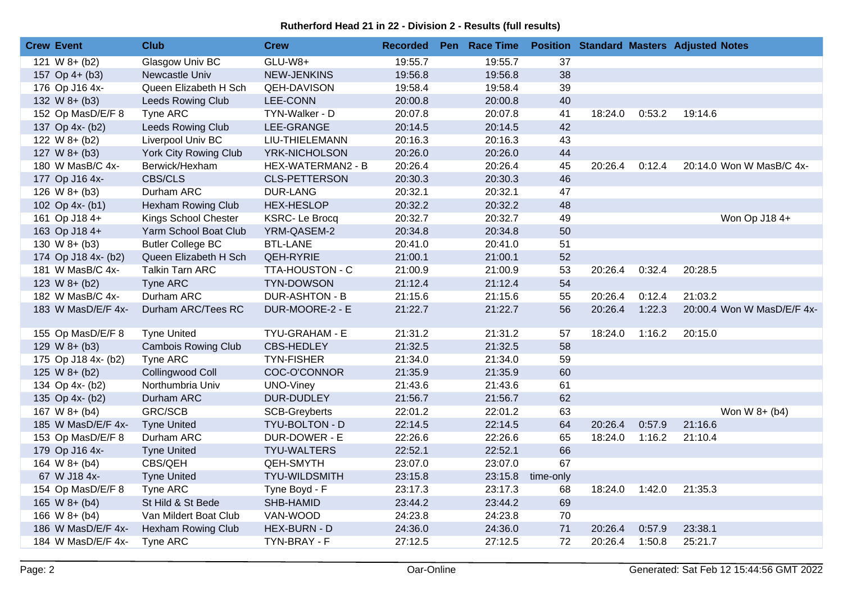## **Rutherford Head 21 in 22 - Division 2 - Results (full results)**

| <b>Crew Event</b>   | Club                         | <b>Crew</b>           | <b>Recorded</b> | Pen Race Time |           |         |        | <b>Position Standard Masters Adjusted Notes</b> |
|---------------------|------------------------------|-----------------------|-----------------|---------------|-----------|---------|--------|-------------------------------------------------|
| 121 W $8 + (b2)$    | Glasgow Univ BC              | GLU-W8+               | 19:55.7         | 19:55.7       | 37        |         |        |                                                 |
| 157 Op $4+$ (b3)    | Newcastle Univ               | <b>NEW-JENKINS</b>    | 19:56.8         | 19:56.8       | 38        |         |        |                                                 |
| 176 Op J16 4x-      | Queen Elizabeth H Sch        | <b>QEH-DAVISON</b>    | 19:58.4         | 19:58.4       | 39        |         |        |                                                 |
| 132 W $8 + (b3)$    | <b>Leeds Rowing Club</b>     | <b>LEE-CONN</b>       | 20:00.8         | 20:00.8       | 40        |         |        |                                                 |
| 152 Op MasD/E/F 8   | Tyne ARC                     | TYN-Walker - D        | 20:07.8         | 20:07.8       | 41        | 18:24.0 | 0:53.2 | 19:14.6                                         |
| 137 Op 4x- (b2)     | Leeds Rowing Club            | LEE-GRANGE            | 20:14.5         | 20:14.5       | 42        |         |        |                                                 |
| 122 W $8+ (b2)$     | Liverpool Univ BC            | LIU-THIELEMANN        | 20:16.3         | 20:16.3       | 43        |         |        |                                                 |
| 127 W $8 + (b3)$    | <b>York City Rowing Club</b> | YRK-NICHOLSON         | 20:26.0         | 20:26.0       | 44        |         |        |                                                 |
| 180 W MasB/C 4x-    | Berwick/Hexham               | HEX-WATERMAN2 - B     | 20:26.4         | 20:26.4       | 45        | 20:26.4 | 0:12.4 | 20:14.0 Won W MasB/C 4x-                        |
| 177 Op J16 4x-      | <b>CBS/CLS</b>               | <b>CLS-PETTERSON</b>  | 20:30.3         | 20:30.3       | 46        |         |        |                                                 |
| $126$ W $8+$ (b3)   | Durham ARC                   | <b>DUR-LANG</b>       | 20:32.1         | 20:32.1       | 47        |         |        |                                                 |
| 102 Op 4x- (b1)     | Hexham Rowing Club           | <b>HEX-HESLOP</b>     | 20:32.2         | 20:32.2       | 48        |         |        |                                                 |
| 161 Op J18 4+       | Kings School Chester         | <b>KSRC-Le Brocq</b>  | 20:32.7         | 20:32.7       | 49        |         |        | Won Op J18 4+                                   |
| 163 Op J18 4+       | Yarm School Boat Club        | YRM-QASEM-2           | 20:34.8         | 20:34.8       | 50        |         |        |                                                 |
| 130 W $8 + (b3)$    | <b>Butler College BC</b>     | <b>BTL-LANE</b>       | 20:41.0         | 20:41.0       | 51        |         |        |                                                 |
| 174 Op J18 4x- (b2) | Queen Elizabeth H Sch        | <b>QEH-RYRIE</b>      | 21:00.1         | 21:00.1       | 52        |         |        |                                                 |
| 181 W MasB/C 4x-    | Talkin Tarn ARC              | TTA-HOUSTON - C       | 21:00.9         | 21:00.9       | 53        | 20:26.4 | 0:32.4 | 20:28.5                                         |
| 123 W $8+ (b2)$     | Tyne ARC                     | <b>TYN-DOWSON</b>     | 21:12.4         | 21:12.4       | 54        |         |        |                                                 |
| 182 W MasB/C 4x-    | Durham ARC                   | <b>DUR-ASHTON - B</b> | 21:15.6         | 21:15.6       | 55        | 20:26.4 | 0:12.4 | 21:03.2                                         |
| 183 W MasD/E/F 4x-  | Durham ARC/Tees RC           | DUR-MOORE-2 - E       | 21:22.7         | 21:22.7       | 56        | 20:26.4 | 1:22.3 | 20:00.4 Won W MasD/E/F 4x-                      |
| 155 Op MasD/E/F 8   | <b>Tyne United</b>           | TYU-GRAHAM - E        | 21:31.2         | 21:31.2       | 57        | 18:24.0 | 1:16.2 | 20:15.0                                         |
| $129 W8+ (b3)$      | <b>Cambois Rowing Club</b>   | <b>CBS-HEDLEY</b>     | 21:32.5         | 21:32.5       | 58        |         |        |                                                 |
| 175 Op J18 4x- (b2) | Tyne ARC                     | <b>TYN-FISHER</b>     | 21:34.0         | 21:34.0       | 59        |         |        |                                                 |
| 125 W $8+ (b2)$     | Collingwood Coll             | COC-O'CONNOR          | 21:35.9         | 21:35.9       | 60        |         |        |                                                 |
| 134 Op 4x- (b2)     | Northumbria Univ             | <b>UNO-Viney</b>      | 21:43.6         | 21:43.6       | 61        |         |        |                                                 |
| 135 Op 4x- (b2)     | Durham ARC                   | DUR-DUDLEY            | 21:56.7         | 21:56.7       | 62        |         |        |                                                 |
| 167 W $8 + (b4)$    | <b>GRC/SCB</b>               | <b>SCB-Greyberts</b>  | 22:01.2         | 22:01.2       | 63        |         |        | Won W 8+ (b4)                                   |
| 185 W MasD/E/F 4x-  | <b>Tyne United</b>           | TYU-BOLTON - D        | 22:14.5         | 22:14.5       | 64        | 20:26.4 | 0:57.9 | 21:16.6                                         |
| 153 Op MasD/E/F 8   | Durham ARC                   | DUR-DOWER - E         | 22:26.6         | 22:26.6       | 65        | 18:24.0 | 1:16.2 | 21:10.4                                         |
| 179 Op J16 4x-      | <b>Tyne United</b>           | <b>TYU-WALTERS</b>    | 22:52.1         | 22:52.1       | 66        |         |        |                                                 |
| 164 W $8+ (b4)$     | CBS/QEH                      | <b>QEH-SMYTH</b>      | 23:07.0         | 23:07.0       | 67        |         |        |                                                 |
| 67 W J18 4x-        | <b>Tyne United</b>           | <b>TYU-WILDSMITH</b>  | 23:15.8         | 23:15.8       | time-only |         |        |                                                 |
| 154 Op MasD/E/F 8   | Tyne ARC                     | Tyne Boyd - F         | 23:17.3         | 23:17.3       | 68        | 18:24.0 | 1:42.0 | 21:35.3                                         |
| 165 W $8+ (b4)$     | St Hild & St Bede            | SHB-HAMID             | 23:44.2         | 23:44.2       | 69        |         |        |                                                 |
| 166 W $8+ (b4)$     | Van Mildert Boat Club        | VAN-WOOD              | 24:23.8         | 24:23.8       | 70        |         |        |                                                 |
| 186 W MasD/E/F 4x-  | Hexham Rowing Club           | <b>HEX-BURN - D</b>   | 24:36.0         | 24:36.0       | 71        | 20:26.4 | 0:57.9 | 23:38.1                                         |
| 184 W MasD/E/F 4x-  | Tyne ARC                     | TYN-BRAY - F          | 27:12.5         | 27:12.5       | 72        | 20:26.4 | 1:50.8 | 25:21.7                                         |